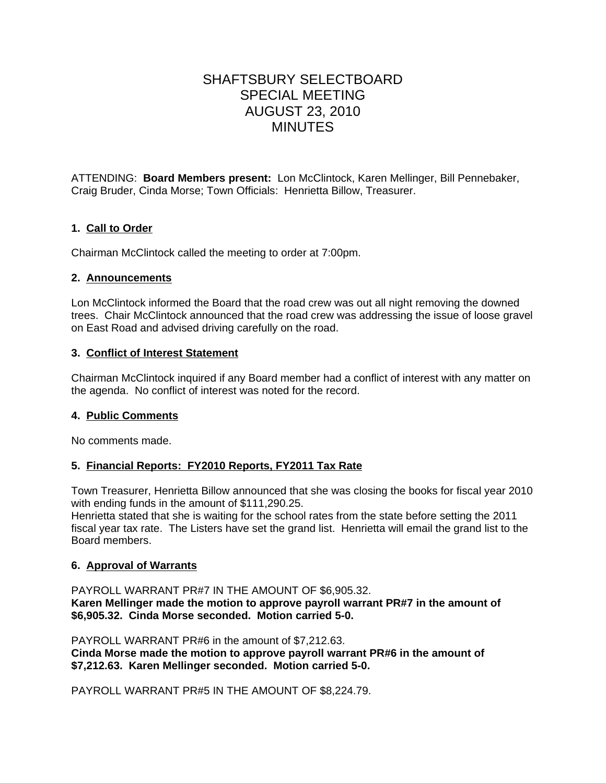# SHAFTSBURY SELECTBOARD SPECIAL MEETING AUGUST 23, 2010 MINUTES

ATTENDING: **Board Members present:** Lon McClintock, Karen Mellinger, Bill Pennebaker, Craig Bruder, Cinda Morse; Town Officials: Henrietta Billow, Treasurer.

## **1. Call to Order**

Chairman McClintock called the meeting to order at 7:00pm.

#### **2. Announcements**

Lon McClintock informed the Board that the road crew was out all night removing the downed trees. Chair McClintock announced that the road crew was addressing the issue of loose gravel on East Road and advised driving carefully on the road.

## **3. Conflict of Interest Statement**

Chairman McClintock inquired if any Board member had a conflict of interest with any matter on the agenda. No conflict of interest was noted for the record.

## **4. Public Comments**

No comments made.

## **5. Financial Reports: FY2010 Reports, FY2011 Tax Rate**

Town Treasurer, Henrietta Billow announced that she was closing the books for fiscal year 2010 with ending funds in the amount of \$111,290.25.

Henrietta stated that she is waiting for the school rates from the state before setting the 2011 fiscal year tax rate. The Listers have set the grand list. Henrietta will email the grand list to the Board members.

## **6. Approval of Warrants**

PAYROLL WARRANT PR#7 IN THE AMOUNT OF \$6,905.32. **Karen Mellinger made the motion to approve payroll warrant PR#7 in the amount of**

**\$6,905.32. Cinda Morse seconded. Motion carried 5-0.**

PAYROLL WARRANT PR#6 in the amount of \$7,212.63.

**Cinda Morse made the motion to approve payroll warrant PR#6 in the amount of \$7,212.63. Karen Mellinger seconded. Motion carried 5-0.**

PAYROLL WARRANT PR#5 IN THE AMOUNT OF \$8,224.79.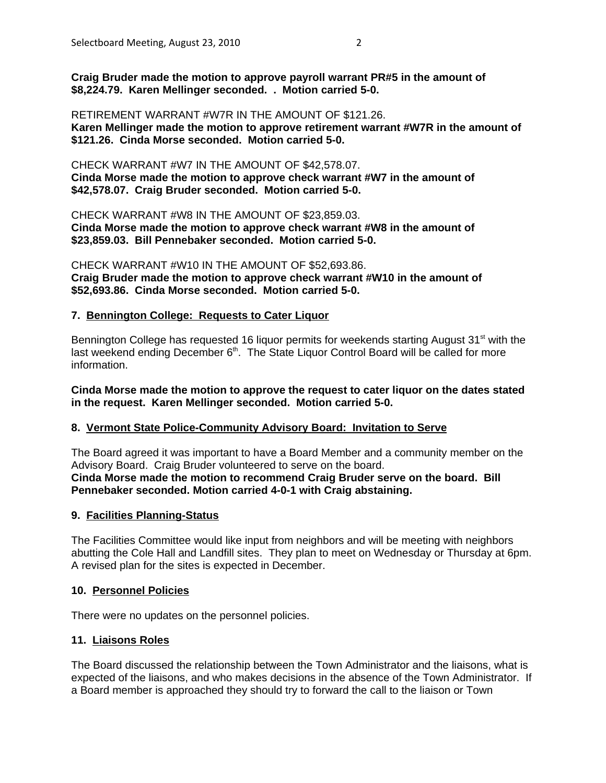**Craig Bruder made the motion to approve payroll warrant PR#5 in the amount of \$8,224.79. Karen Mellinger seconded. . Motion carried 5-0.**

RETIREMENT WARRANT #W7R IN THE AMOUNT OF \$121.26. **Karen Mellinger made the motion to approve retirement warrant #W7R in the amount of \$121.26. Cinda Morse seconded. Motion carried 5-0.**

CHECK WARRANT #W7 IN THE AMOUNT OF \$42,578.07. **Cinda Morse made the motion to approve check warrant #W7 in the amount of \$42,578.07. Craig Bruder seconded. Motion carried 5-0.**

CHECK WARRANT #W8 IN THE AMOUNT OF \$23,859.03. **Cinda Morse made the motion to approve check warrant #W8 in the amount of \$23,859.03. Bill Pennebaker seconded. Motion carried 5-0.**

CHECK WARRANT #W10 IN THE AMOUNT OF \$52,693.86. **Craig Bruder made the motion to approve check warrant #W10 in the amount of \$52,693.86. Cinda Morse seconded. Motion carried 5-0.**

#### **7. Bennington College: Requests to Cater Liquor**

Bennington College has requested 16 liquor permits for weekends starting August 31<sup>st</sup> with the last weekend ending December 6<sup>th</sup>. The State Liquor Control Board will be called for more information.

**Cinda Morse made the motion to approve the request to cater liquor on the dates stated in the request. Karen Mellinger seconded. Motion carried 5-0.**

#### **8. Vermont State Police-Community Advisory Board: Invitation to Serve**

The Board agreed it was important to have a Board Member and a community member on the Advisory Board. Craig Bruder volunteered to serve on the board. **Cinda Morse made the motion to recommend Craig Bruder serve on the board. Bill Pennebaker seconded. Motion carried 4-0-1 with Craig abstaining.**

#### **9. Facilities Planning-Status**

The Facilities Committee would like input from neighbors and will be meeting with neighbors abutting the Cole Hall and Landfill sites. They plan to meet on Wednesday or Thursday at 6pm. A revised plan for the sites is expected in December.

#### **10. Personnel Policies**

There were no updates on the personnel policies.

#### **11. Liaisons Roles**

The Board discussed the relationship between the Town Administrator and the liaisons, what is expected of the liaisons, and who makes decisions in the absence of the Town Administrator. If a Board member is approached they should try to forward the call to the liaison or Town